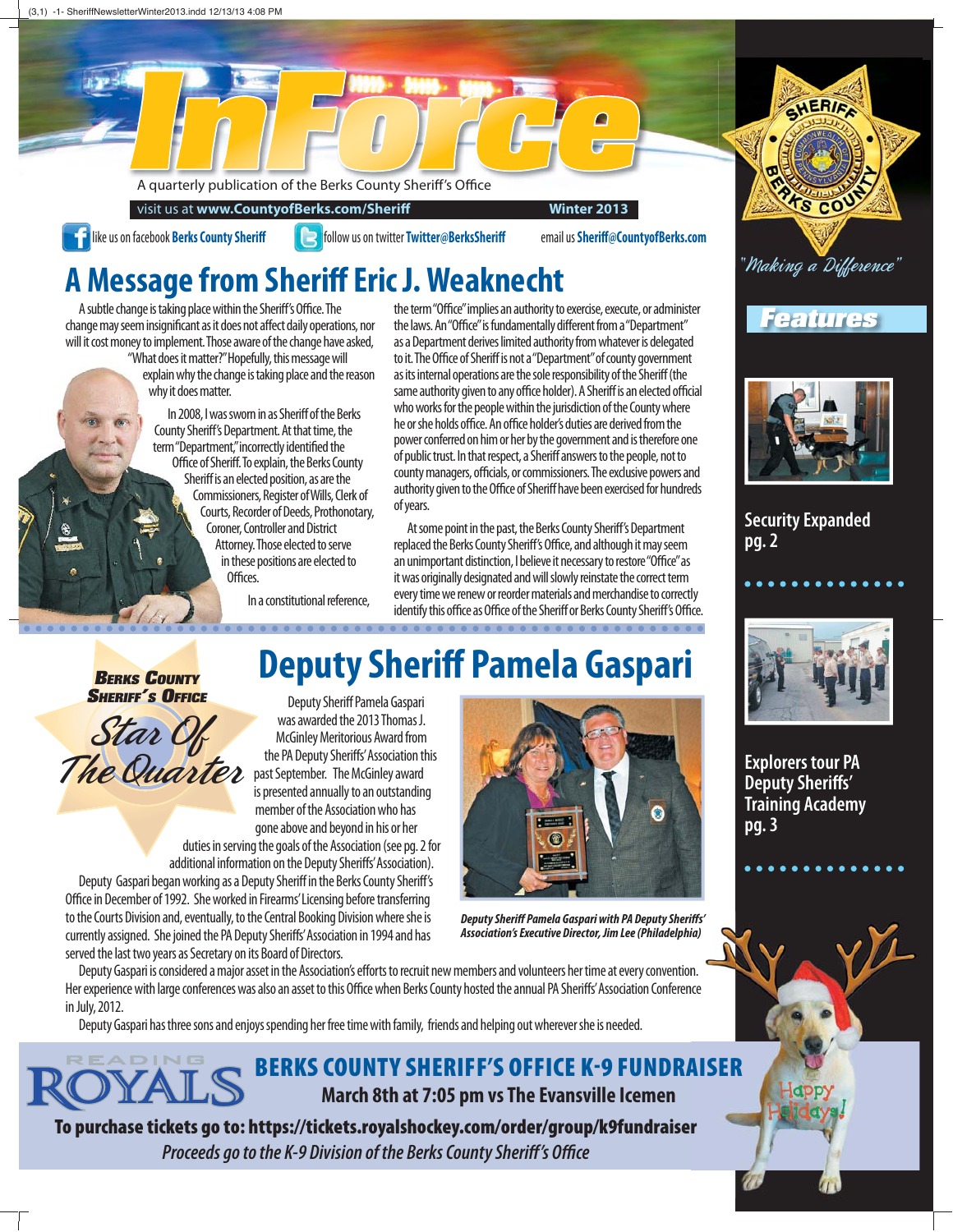

like us on facebook **Berks County Sheriff** follow us on twitter**Twitter@BerksSheriff** email us**Sheriff @CountyofBerks.com**

### **A Message from Sheriff Eric J. Weaknecht**

A subtle change is taking place within the Sheriff's Office. The change may seem insignificant as it does not affect daily operations, nor will it cost money to implement. Those aware of the change have asked,

"What does it matter?" Hopefully, this message will explain why the change is taking place and the reason why it does matter.

> In 2008, I was sworn in as Sheriff of the Berks County Sheriff's Department. At that time, the term "Department," incorrectly identified the Office of Sheriff. To explain, the Berks County Sheriff is an elected position, as are the Commissioners, Register of Wills, Clerk of Courts, Recorder of Deeds, Prothonotary, Coroner, Controller and District Attorney. Those elected to serve in these positions are elected to Offices.

> > In a constitutional reference,

the term "Office" implies an authority to exercise, execute, or administer the laws. An "Office" is fundamentally different from a "Department" as a Department derives limited authority from whatever is delegated to it. The Office of Sheriff is not a "Department" of county government as its internal operations are the sole responsibility of the Sheriff (the same authority given to any office holder). A Sheriff is an elected official who works for the people within the jurisdiction of the County where he or she holds office. An office holder's duties are derived from the power conferred on him or her by the government and is therefore one of public trust. In that respect, a Sheriff answers to the people, not to county managers, officials, or commissioners. The exclusive powers and authority given to the Office of Sheriff have been exercised for hundreds of years.

At some point in the past, the Berks County Sheriff's Department replaced the Berks County Sheriff's Office, and although it may seem an unimportant distinction, I believe it necessary to restore "Office" as it was originally designated and will slowly reinstate the correct term every time we renew or reorder materials and merchandise to correctly identify this office as Office of the Sheriff or Berks County Sheriff's Office.



#### *Features*



**Security Expanded pg. 2**



**Explorers tour PA Deputy Sheriffs' Training Academy pg. 3**

*BERKS COUNTY SHERIFF'S OFFICE*

Star Of The Quarter

**Deputy Sheriff Pamela Gaspari**

Deputy Sheriff Pamela Gaspari<br>was awarded the 2013 Thomas J. was awarded the 2013 Thomas J. McGinley Meritorious Award from the PA Deputy Sheriffs' Association this past September. The McGinley award is presented annually to an outstanding member of the Association who has gone above and beyond in his or her duties in serving the goals of the Association (see pg. 2 for

additional information on the Deputy Sheriffs' Association). Deputy Gaspari began working as a Deputy Sheriff in the Berks County Sheriff 's Office in December of 1992. She worked in Firearms' Licensing before transferring to the Courts Division and, eventually, to the Central Booking Division where she is currently assigned. She joined the PA Deputy Sheriffs' Association in 1994 and has

served the last two years as Secretary on its Board of Directors.



*Association's Executive Director, Jim Lee (Philadelphia)*

Deputy Gaspari is considered a major asset in the Association's efforts to recruit new members and volunteers her time at every convention. to the Courts Division and, eventually, to the Central Booking Division where she is an abouty Sheriff Pamela Gaspari with PA Deputy Sheriffs' Counter the Association in 1994 and has considered the last two years as Secret in July, 2012.

Deputy Gaspari has three sons and enjoys spending her free time with family, friends and helping out wherever she is needed.

### **BERKS COUNTY SHERIFF'S OFFICE K-9 FUNDRAISER March 8th at 7:05 pm vs The Evansville Icemen**

**To purchase tickets go to: https://tickets.royalshockey.com/order/group/k9fundraiser** *Proceeds go to the K-9 Division of the Berks County Sheriff 's Offi ce*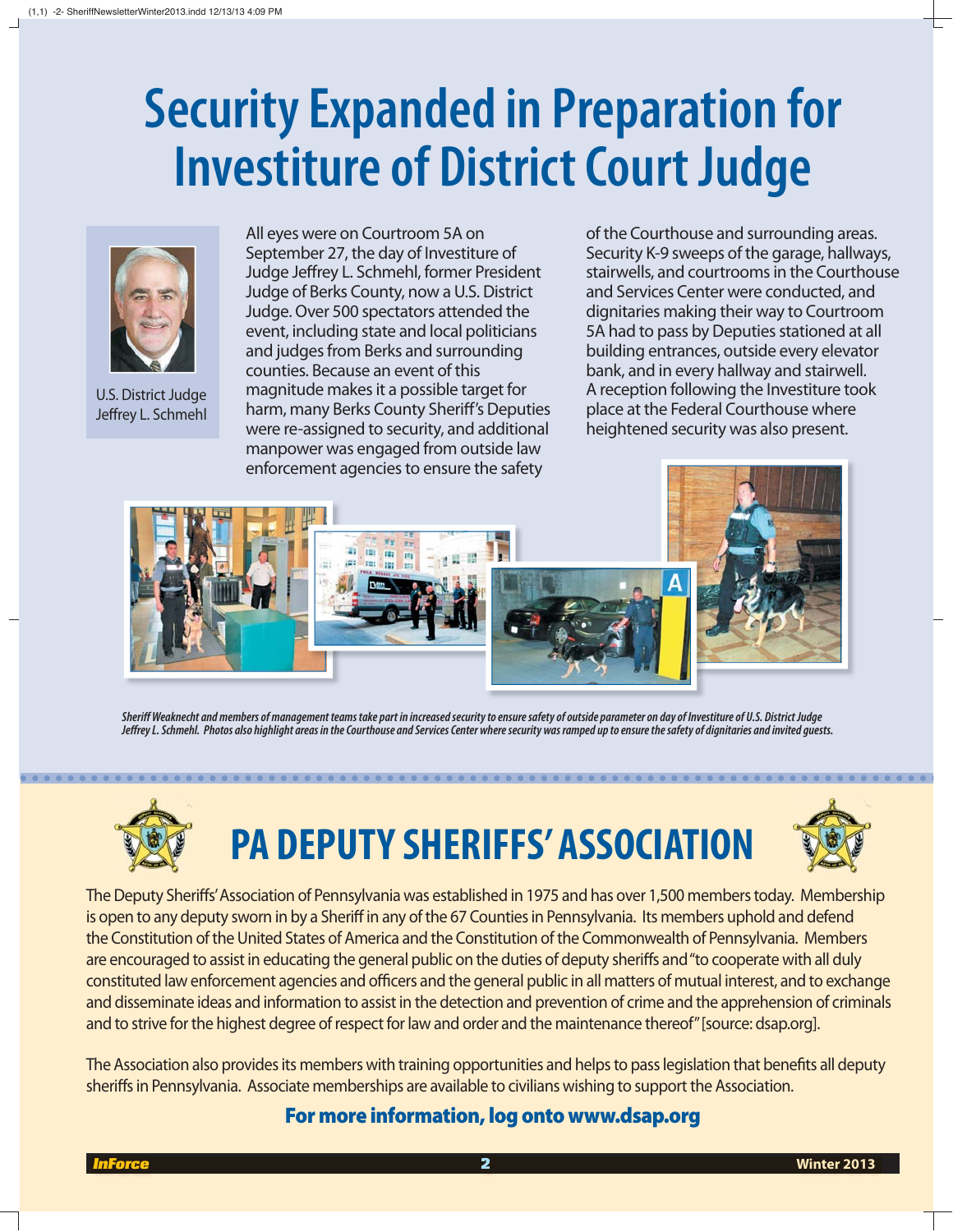# **Security Expanded in Preparation for Investiture of District Court Judge**



U.S. District Judge Jeffrey L. Schmehl

All eyes were on Courtroom 5A on September 27, the day of Investiture of Judge Jeffrey L. Schmehl, former President Judge of Berks County, now a U.S. District Judge. Over 500 spectators attended the event, including state and local politicians and judges from Berks and surrounding counties. Because an event of this magnitude makes it a possible target for harm, many Berks County Sheriff 's Deputies were re-assigned to security, and additional manpower was engaged from outside law enforcement agencies to ensure the safety

of the Courthouse and surrounding areas. Security K-9 sweeps of the garage, hallways, stairwells, and courtrooms in the Courthouse and Services Center were conducted, and dignitaries making their way to Courtroom 5A had to pass by Deputies stationed at all building entrances, outside every elevator bank, and in every hallway and stairwell. A reception following the Investiture took place at the Federal Courthouse where heightened security was also present.



*Sheriff Weaknecht and members of management teams take part in increased security to ensure safety of outside parameter on day of Investiture of U.S. District Judge Jeff rey L. Schmehl. Photos also highlight areas in the Courthouse and Services Center where security was ramped up to ensure the safety of dignitaries and invited guests.*



## **PA DEPUTY SHERIFFS' ASSOCIATION**



The Deputy Sheriffs' Association of Pennsylvania was established in 1975 and has over 1,500 members today. Membership is open to any deputy sworn in by a Sheriff in any of the 67 Counties in Pennsylvania. Its members uphold and defend the Constitution of the United States of America and the Constitution of the Commonwealth of Pennsylvania. Members are encouraged to assist in educating the general public on the duties of deputy sheriffs and "to cooperate with all duly constituted law enforcement agencies and officers and the general public in all matters of mutual interest, and to exchange and disseminate ideas and information to assist in the detection and prevention of crime and the apprehension of criminals and to strive for the highest degree of respect for law and order and the maintenance thereof" [source: dsap.org].

The Association also provides its members with training opportunities and helps to pass legislation that benefits all deputy sheriffs in Pennsylvania. Associate memberships are available to civilians wishing to support the Association.

#### **For more information, log onto www.dsap.org**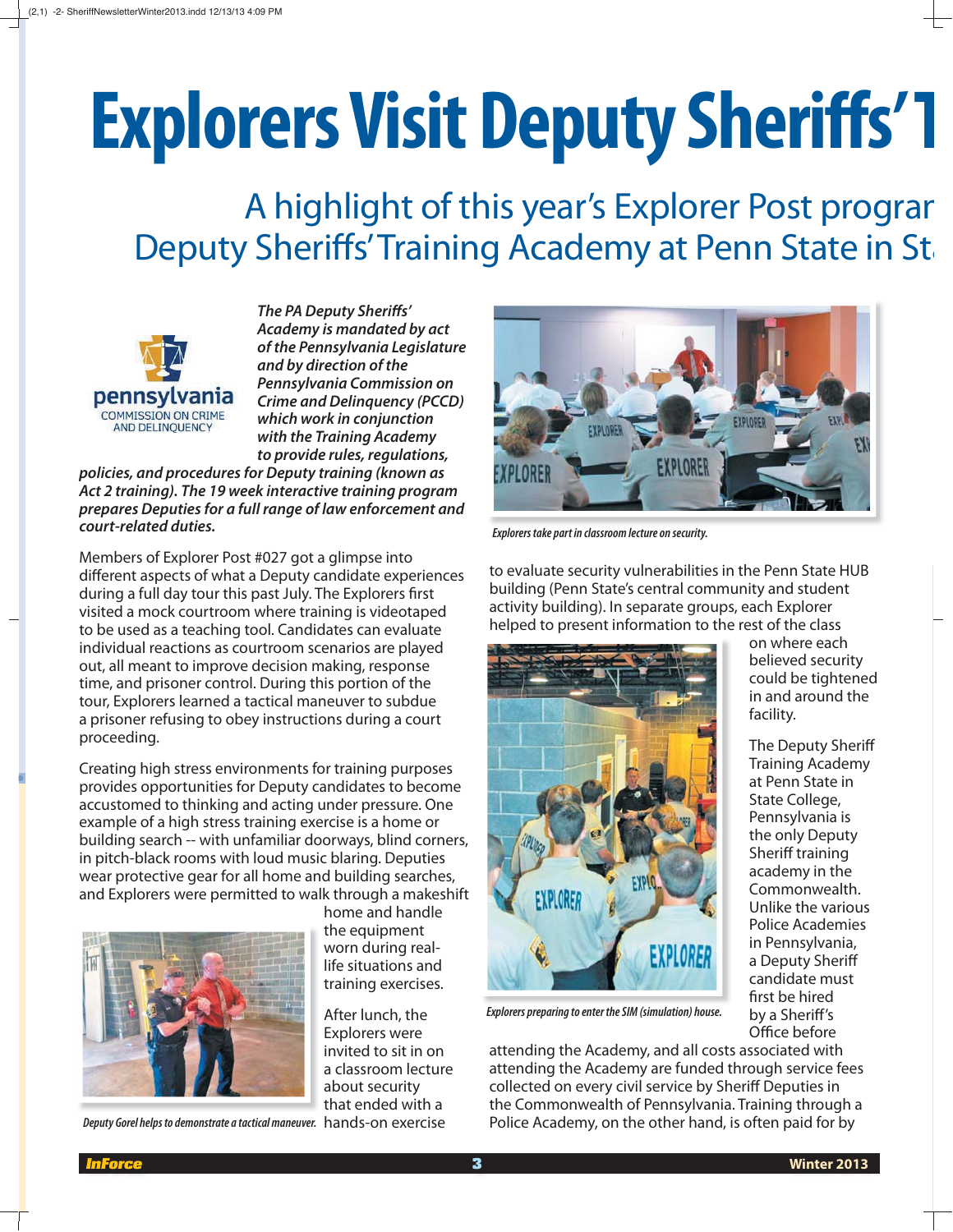# **Explorers Visit Deputy Sheriffs'**

### A highlight of this year's Explorer Post program Deputy Sheriffs' Training Academy at Penn State in St



*The PA Deputy Sheriff s' Academy is mandated by act of the Pennsylvania Legislature and by direction of the Pennsylvania Commission on Crime and Delinquency (PCCD) which work in conjunction with the Training Academy to provide rules, regulations,* 

*policies, and procedures for Deputy training (known as Act 2 training). The 19 week interactive training program prepares Deputies for a full range of law enforcement and court-related duties.*

Members of Explorer Post #027 got a glimpse into different aspects of what a Deputy candidate experiences during a full day tour this past July. The Explorers first visited a mock courtroom where training is videotaped to be used as a teaching tool. Candidates can evaluate individual reactions as courtroom scenarios are played out, all meant to improve decision making, response time, and prisoner control. During this portion of the tour, Explorers learned a tactical maneuver to subdue a prisoner refusing to obey instructions during a court proceeding.

Creating high stress environments for training purposes provides opportunities for Deputy candidates to become accustomed to thinking and acting under pressure. One example of a high stress training exercise is a home or building search -- with unfamiliar doorways, blind corners, in pitch-black rooms with loud music blaring. Deputies wear protective gear for all home and building searches, and Explorers were permitted to walk through a makeshift



*Deputy Gorel helps to demonstrate a tactical maneuver. hands-on exercise* 

home and handle the equipment worn during reallife situations and training exercises.

After lunch, the Explorers were invited to sit in on a classroom lecture about security that ended with a



*Explorers take part in classroom lecture on security.*

to evaluate security vulnerabilities in the Penn State HUB building (Penn State's central community and student activity building). In separate groups, each Explorer helped to present information to the rest of the class



*Explorers preparing to enter the SIM (simulation) house.*

attending the Academy, and all costs associated with attending the Academy are funded through service fees collected on every civil service by Sheriff Deputies in the Commonwealth of Pennsylvania. Training through a Police Academy, on the other hand, is often paid for by

on where each believed security could be tightened in and around the facility.

The Deputy Sheriff Training Academy at Penn State in State College, Pennsylvania is the only Deputy Sheriff training academy in the Commonwealth. Unlike the various Police Academies in Pennsylvania, a Deputy Sheriff candidate must first be hired by a Sheriff 's Office before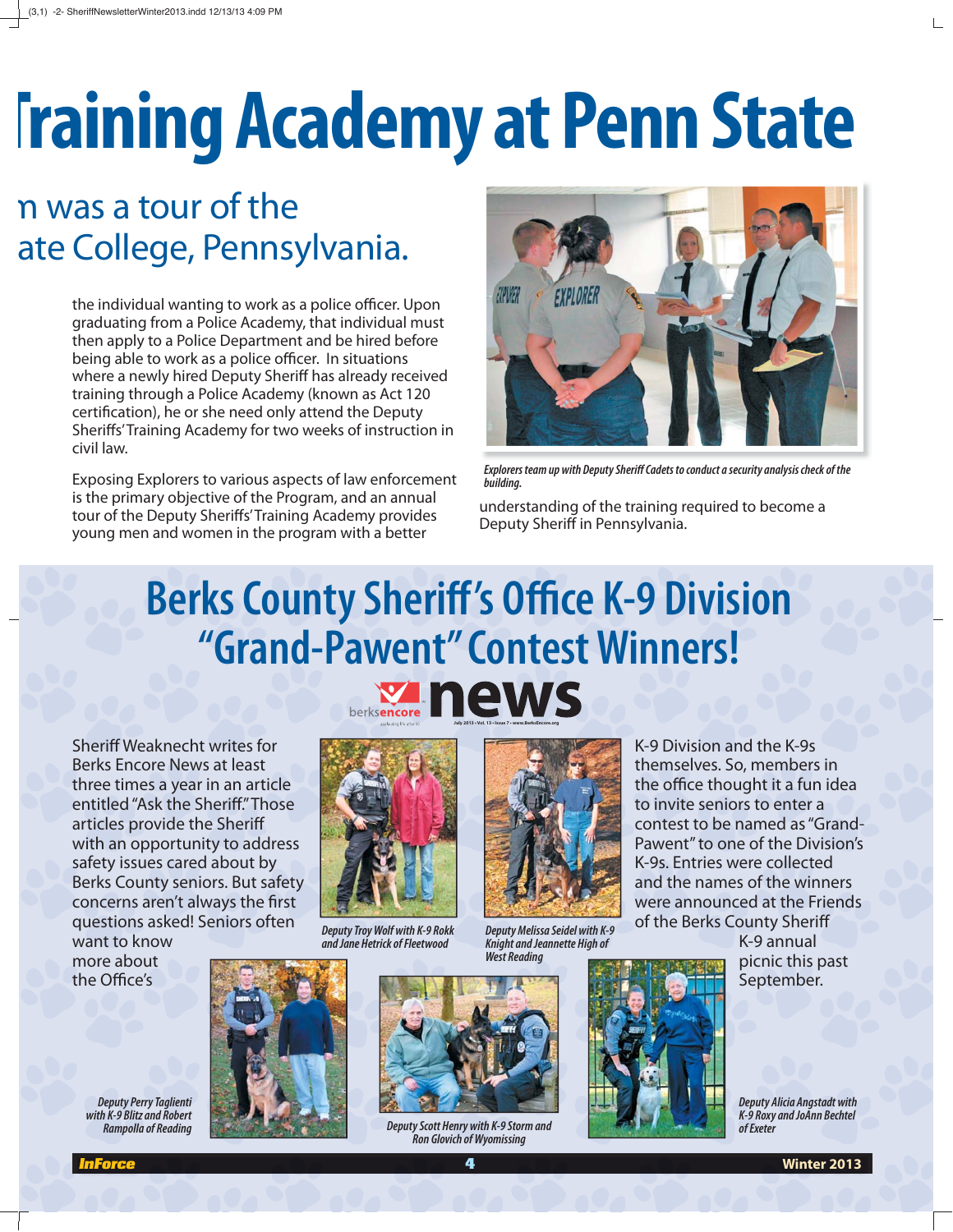# **Training Academy at Penn State**

### n was a tour of the ate College, Pennsylvania.

the individual wanting to work as a police officer. Upon graduating from a Police Academy, that individual must then apply to a Police Department and be hired before being able to work as a police officer. In situations where a newly hired Deputy Sheriff has already received training through a Police Academy (known as Act 120 certification), he or she need only attend the Deputy Sheriffs' Training Academy for two weeks of instruction in civil law.

Exposing Explorers to various aspects of law enforcement is the primary objective of the Program, and an annual tour of the Deputy Sheriffs' Training Academy provides young men and women in the program with a better



*Explorers team up with Deputy Sheriff Cadets to conduct a security analysis check of the building.*

understanding of the training required to become a Deputy Sheriff in Pennsylvania.

## **Berks County Sheriff's Office K-9 Division "Grand-Pawent" Contest Winners!**

Sheriff Weaknecht writes for Berks Encore News at least three times a year in an article entitled "Ask the Sheriff." Those articles provide the Sheriff with an opportunity to address safety issues cared about by Berks County seniors. But safety concerns aren't always the first questions asked! Seniors often

want to know more about the Office's

*Deputy Perry Taglienti with K-9 Blitz and Robert* 





*Deputy Troy Wolf with K-9 Rokk and Jane Hetrick of Fleetwood*



*Deputy Melissa Seidel with K-9 Knight and Jeannette High of West Reading*



**Deputy Scott Henry with K-9 Storm and** *Ron Glovich of Wyomissing*



K-9 annual picnic this past September.

*Deputy Alicia Angstadt with K-9 Roxy and JoAnn Bechtel of Exeter*



*InForce* 4 **Winter 2013**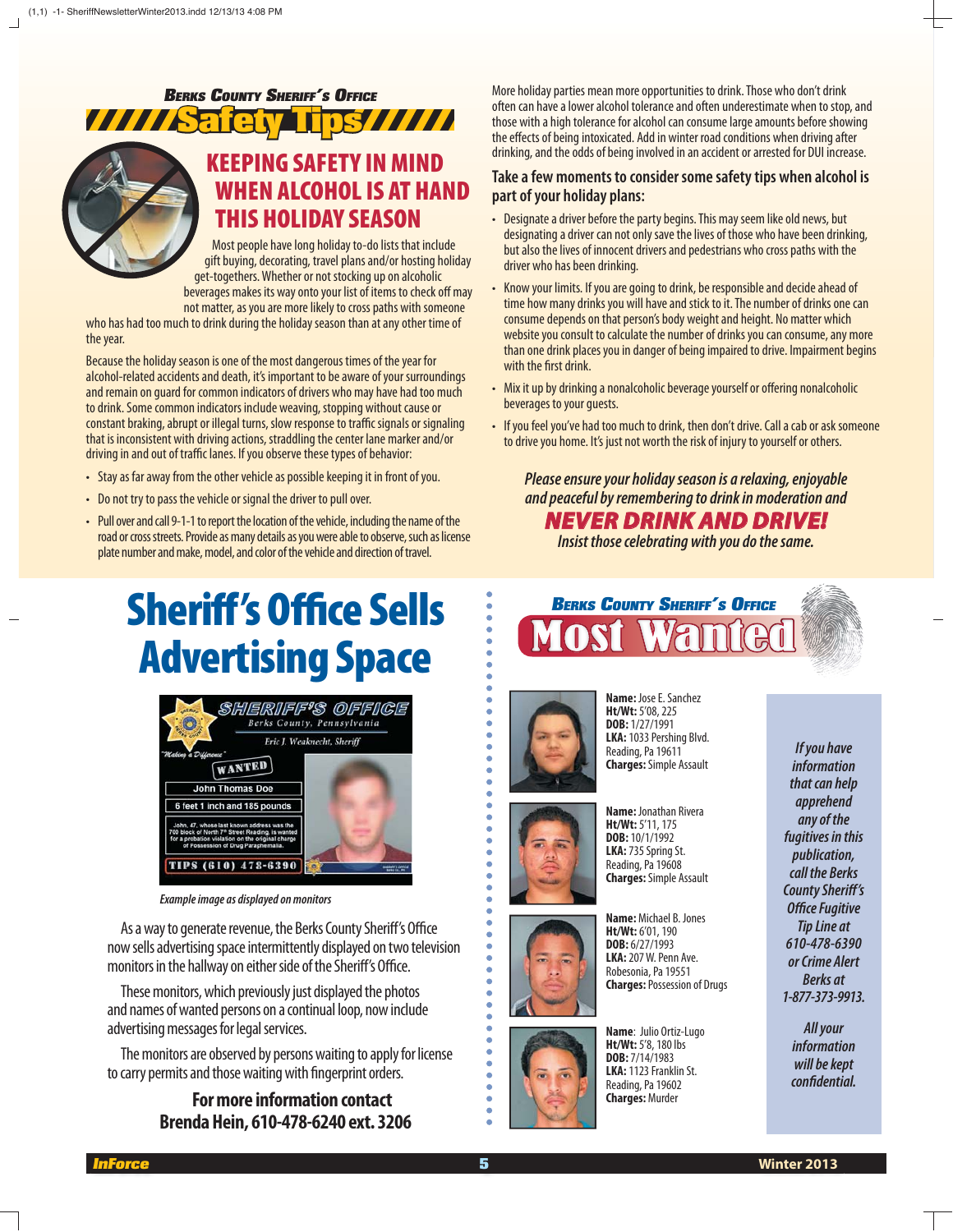# Safety Tips



### **KEEPING SAFETY IN MIND WHEN ALCOHOL IS AT HAND THIS HOLIDAY SEASON**

Most people have long holiday to-do lists that include gift buying, decorating, travel plans and/or hosting holiday get-togethers. Whether or not stocking up on alcoholic beverages makes its way onto your list of items to check off may not matter, as you are more likely to cross paths with someone

who has had too much to drink during the holiday season than at any other time of the year.

Because the holiday season is one of the most dangerous times of the year for alcohol-related accidents and death, it's important to be aware of your surroundings and remain on guard for common indicators of drivers who may have had too much to drink. Some common indicators include weaving, stopping without cause or constant braking, abrupt or illegal turns, slow response to traffic signals or signaling that is inconsistent with driving actions, straddling the center lane marker and/or driving in and out of traffic lanes. If you observe these types of behavior:

- Stay as far away from the other vehicle as possible keeping it in front of you.
- Do not try to pass the vehicle or signal the driver to pull over.
- Pull over and call 9-1-1 to report the location of the vehicle, including the name of the road or cross streets. Provide as many details as you were able to observe, such as license plate number and make, model, and color of the vehicle and direction of travel.

#### **EXECUTE:**<br> **INFORMATION CONTENT AND INFORMATION IS AT HAND**<br> **INFORMATION IS AT HAND**<br> **INFORMATION IS AT HAND**<br> **INFORMATION IS AT HAND**<br>
THEN ALCOHOL IS AT HAND<br>
THEN ALCOHOL IS AT HAND<br>
THEN ALCOHOL IS AT HAND<br>
THEN More holiday parties mean more opportunities to drink. Those who don't drink often can have a lower alcohol tolerance and often underestimate when to stop, and those with a high tolerance for alcohol can consume large amounts before showing the effects of being intoxicated. Add in winter road conditions when driving after drinking, and the odds of being involved in an accident or arrested for DUI increase.

#### **Take a few moments to consider some safety tips when alcohol is part of your holiday plans:**

- Designate a driver before the party begins. This may seem like old news, but designating a driver can not only save the lives of those who have been drinking, but also the lives of innocent drivers and pedestrians who cross paths with the driver who has been drinking.
- Know your limits. If you are going to drink, be responsible and decide ahead of time how many drinks you will have and stick to it. The number of drinks one can consume depends on that person's body weight and height. No matter which website you consult to calculate the number of drinks you can consume, any more than one drink places you in danger of being impaired to drive. Impairment begins with the first drink.
- Mix it up by drinking a nonalcoholic beverage yourself or offering nonalcoholic beverages to your guests.
- If you feel you've had too much to drink, then don't drive. Call a cab or ask someone to drive you home. It's just not worth the risk of injury to yourself or others.

*Please ensure your holiday season is a relaxing, enjoyable and peaceful by remembering to drink in moderation and NEVER DRINK AND DRIVE!* 

*Insist those celebrating with you do the same.*

### **Sheriff's Office Sells Advertising Space**



*Example image as displayed on monitors*

As a way to generate revenue, the Berks County Sheriff's Office now sells advertising space intermittently displayed on two television monitors in the hallway on either side of the Sheriff's Office.

These monitors, which previously just displayed the photos and names of wanted persons on a continual loop, now include advertising messages for legal services.

The monitors are observed by persons waiting to apply for license to carry permits and those waiting with fingerprint orders.

#### **For more information contact Brenda Hein, 610-478-6240 ext. 3206**





ö

ö  $\bullet$ 

 $\bullet$  $\ddot{\bullet}$ 

 $\ddot{\bullet}$ ö

ö

ö ö ó  $\bullet$  $\bullet$  $\bullet$ 

ò  $\bullet$  $\bullet$ ö ö ò ò ò ö ö ö ö ö ö  $\bullet$ ö  $\bullet$ ö ö ò  $\bullet$ 

**Name:** Jose E. Sanchez **Ht/Wt:** 5'08, 225 **DOB:** 1/27/1991 **LKA:** 1033 Pershing Blvd. Reading, Pa 19611 **Charges:** Simple Assault

**Name:** Jonathan Rivera **Ht/Wt:** 5'11, 175 **DOB:** 10/1/1992 **LKA:** 735 Spring St. Reading, Pa 19608 **Charges:** Simple Assault





**Name:** Michael B. Jones **Ht/Wt:** 6'01, 190 **DOB:** 6/27/1993 **LKA:** 207 W. Penn Ave. Robesonia, Pa 19551 **Charges:** Possession of Drugs

**Name**: Julio Ortiz-Lugo **Ht/Wt:** 5'8, 180 lbs **DOB:** 7/14/1983 **LKA:** 1123 Franklin St. Reading, Pa 19602 **Charges:** Murder

*If you have information that can help apprehend any of the fugitives in this publication, call the Berks County Sheriff 's*  **Office Fugitive** *Tip Line at 610-478-6390 or Crime Alert Berks at 1-877-373-9913.*

*All your information will be kept confi dential.*